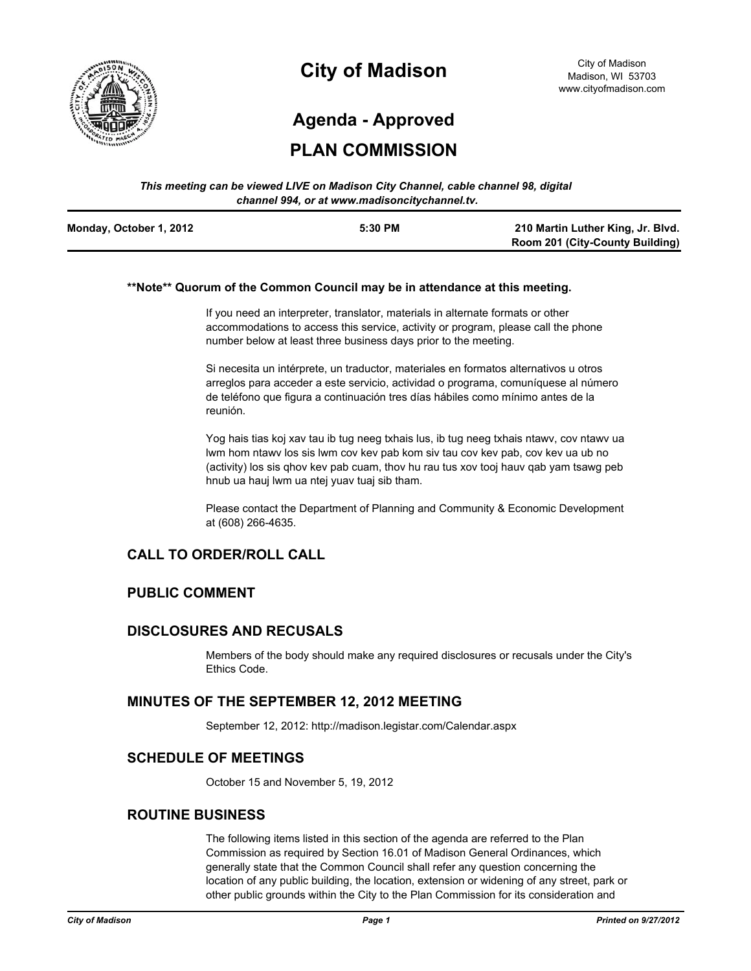

# **City of Madison**

# **Agenda - Approved**

# **PLAN COMMISSION**

#### *This meeting can be viewed LIVE on Madison City Channel, cable channel 98, digital channel 994, or at www.madisoncitychannel.tv.*

| Monday, October 1, 2012 | 5:30 PM | 210 Martin Luther King, Jr. Blvd.      |
|-------------------------|---------|----------------------------------------|
|                         |         | <b>Room 201 (City-County Building)</b> |

#### **\*\*Note\*\* Quorum of the Common Council may be in attendance at this meeting.**

If you need an interpreter, translator, materials in alternate formats or other accommodations to access this service, activity or program, please call the phone number below at least three business days prior to the meeting.

Si necesita un intérprete, un traductor, materiales en formatos alternativos u otros arreglos para acceder a este servicio, actividad o programa, comuníquese al número de teléfono que figura a continuación tres días hábiles como mínimo antes de la reunión.

Yog hais tias koj xav tau ib tug neeg txhais lus, ib tug neeg txhais ntawv, cov ntawv ua lwm hom ntawv los sis lwm cov kev pab kom siv tau cov kev pab, cov kev ua ub no (activity) los sis qhov kev pab cuam, thov hu rau tus xov tooj hauv qab yam tsawg peb hnub ua hauj lwm ua ntej yuav tuaj sib tham.

Please contact the Department of Planning and Community & Economic Development at (608) 266-4635.

# **CALL TO ORDER/ROLL CALL**

## **PUBLIC COMMENT**

### **DISCLOSURES AND RECUSALS**

Members of the body should make any required disclosures or recusals under the City's Ethics Code.

## **MINUTES OF THE SEPTEMBER 12, 2012 MEETING**

September 12, 2012: http://madison.legistar.com/Calendar.aspx

## **SCHEDULE OF MEETINGS**

October 15 and November 5, 19, 2012

### **ROUTINE BUSINESS**

The following items listed in this section of the agenda are referred to the Plan Commission as required by Section 16.01 of Madison General Ordinances, which generally state that the Common Council shall refer any question concerning the location of any public building, the location, extension or widening of any street, park or other public grounds within the City to the Plan Commission for its consideration and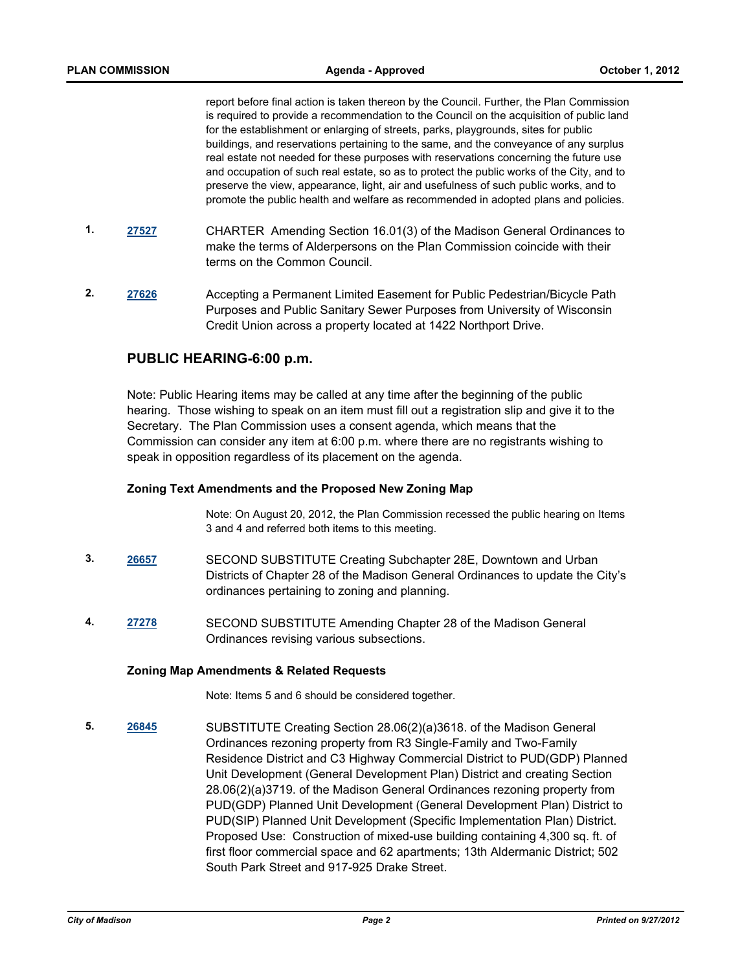report before final action is taken thereon by the Council. Further, the Plan Commission is required to provide a recommendation to the Council on the acquisition of public land for the establishment or enlarging of streets, parks, playgrounds, sites for public buildings, and reservations pertaining to the same, and the conveyance of any surplus real estate not needed for these purposes with reservations concerning the future use and occupation of such real estate, so as to protect the public works of the City, and to preserve the view, appearance, light, air and usefulness of such public works, and to promote the public health and welfare as recommended in adopted plans and policies.

- **1. [27527](http://madison.legistar.com/gateway.aspx?m=l&id=/matter.aspx?key=30219)** CHARTER Amending Section 16.01(3) of the Madison General Ordinances to make the terms of Alderpersons on the Plan Commission coincide with their terms on the Common Council.
- **2. [27626](http://madison.legistar.com/gateway.aspx?m=l&id=/matter.aspx?key=30323)** Accepting a Permanent Limited Easement for Public Pedestrian/Bicycle Path Purposes and Public Sanitary Sewer Purposes from University of Wisconsin Credit Union across a property located at 1422 Northport Drive.

## **PUBLIC HEARING-6:00 p.m.**

Note: Public Hearing items may be called at any time after the beginning of the public hearing. Those wishing to speak on an item must fill out a registration slip and give it to the Secretary. The Plan Commission uses a consent agenda, which means that the Commission can consider any item at 6:00 p.m. where there are no registrants wishing to speak in opposition regardless of its placement on the agenda.

#### **Zoning Text Amendments and the Proposed New Zoning Map**

Note: On August 20, 2012, the Plan Commission recessed the public hearing on Items 3 and 4 and referred both items to this meeting.

- **3. [26657](http://madison.legistar.com/gateway.aspx?m=l&id=/matter.aspx?key=29311)** SECOND SUBSTITUTE Creating Subchapter 28E, Downtown and Urban Districts of Chapter 28 of the Madison General Ordinances to update the City's ordinances pertaining to zoning and planning.
- **4. [27278](http://madison.legistar.com/gateway.aspx?m=l&id=/matter.aspx?key=29958)** SECOND SUBSTITUTE Amending Chapter 28 of the Madison General Ordinances revising various subsections.

### **Zoning Map Amendments & Related Requests**

Note: Items 5 and 6 should be considered together.

**5. [26845](http://madison.legistar.com/gateway.aspx?m=l&id=/matter.aspx?key=29512)** SUBSTITUTE Creating Section 28.06(2)(a)3618. of the Madison General Ordinances rezoning property from R3 Single-Family and Two-Family Residence District and C3 Highway Commercial District to PUD(GDP) Planned Unit Development (General Development Plan) District and creating Section 28.06(2)(a)3719. of the Madison General Ordinances rezoning property from PUD(GDP) Planned Unit Development (General Development Plan) District to PUD(SIP) Planned Unit Development (Specific Implementation Plan) District. Proposed Use: Construction of mixed-use building containing 4,300 sq. ft. of first floor commercial space and 62 apartments; 13th Aldermanic District; 502 South Park Street and 917-925 Drake Street.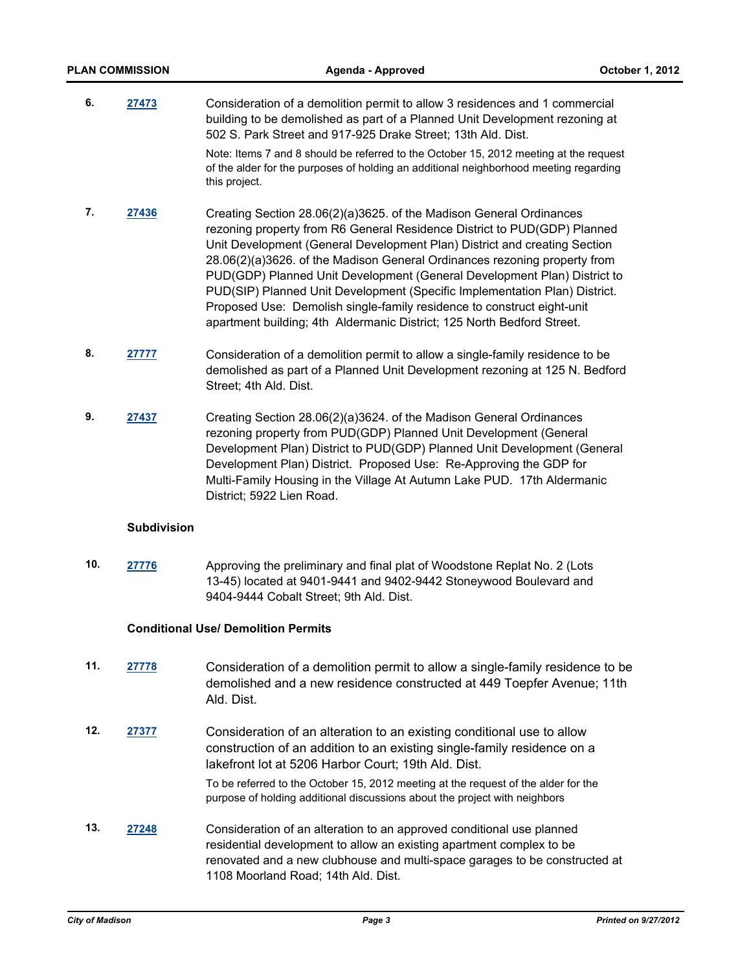| <b>PLAN COMMISSION</b> |       | Agenda - Approved                                                                                                                                                                                                                                                                                                                                                                                                                                                                                                                                                                                                       | October 1, 2012 |
|------------------------|-------|-------------------------------------------------------------------------------------------------------------------------------------------------------------------------------------------------------------------------------------------------------------------------------------------------------------------------------------------------------------------------------------------------------------------------------------------------------------------------------------------------------------------------------------------------------------------------------------------------------------------------|-----------------|
| 6.                     | 27473 | Consideration of a demolition permit to allow 3 residences and 1 commercial<br>building to be demolished as part of a Planned Unit Development rezoning at<br>502 S. Park Street and 917-925 Drake Street; 13th Ald. Dist.                                                                                                                                                                                                                                                                                                                                                                                              |                 |
|                        |       | Note: Items 7 and 8 should be referred to the October 15, 2012 meeting at the request<br>of the alder for the purposes of holding an additional neighborhood meeting regarding<br>this project.                                                                                                                                                                                                                                                                                                                                                                                                                         |                 |
| 7.                     | 27436 | Creating Section 28.06(2)(a)3625. of the Madison General Ordinances<br>rezoning property from R6 General Residence District to PUD(GDP) Planned<br>Unit Development (General Development Plan) District and creating Section<br>28.06(2)(a)3626. of the Madison General Ordinances rezoning property from<br>PUD(GDP) Planned Unit Development (General Development Plan) District to<br>PUD(SIP) Planned Unit Development (Specific Implementation Plan) District.<br>Proposed Use: Demolish single-family residence to construct eight-unit<br>apartment building; 4th Aldermanic District; 125 North Bedford Street. |                 |
| 8.                     | 27777 | Consideration of a demolition permit to allow a single-family residence to be<br>demolished as part of a Planned Unit Development rezoning at 125 N. Bedford<br>Street; 4th Ald. Dist.                                                                                                                                                                                                                                                                                                                                                                                                                                  |                 |
| 9.                     | 27437 | Creating Section 28.06(2)(a)3624. of the Madison General Ordinances<br>rezoning property from PUD(GDP) Planned Unit Development (General<br>Development Plan) District to PUD(GDP) Planned Unit Development (General<br>Development Plan) District. Proposed Use: Re-Approving the GDP for<br>Multi-Family Housing in the Village At Autumn Lake PUD. 17th Aldermanic<br>District; 5922 Lien Road.                                                                                                                                                                                                                      |                 |

### **Subdivision**

**10. [27776](http://madison.legistar.com/gateway.aspx?m=l&id=/matter.aspx?key=30486)** Approving the preliminary and final plat of Woodstone Replat No. 2 (Lots 13-45) located at 9401-9441 and 9402-9442 Stoneywood Boulevard and 9404-9444 Cobalt Street; 9th Ald. Dist.

### **Conditional Use/ Demolition Permits**

- **11. [27778](http://madison.legistar.com/gateway.aspx?m=l&id=/matter.aspx?key=30488)** Consideration of a demolition permit to allow a single-family residence to be demolished and a new residence constructed at 449 Toepfer Avenue; 11th Ald. Dist.
- **12. [27377](http://madison.legistar.com/gateway.aspx?m=l&id=/matter.aspx?key=30060)** Consideration of an alteration to an existing conditional use to allow construction of an addition to an existing single-family residence on a lakefront lot at 5206 Harbor Court; 19th Ald. Dist.

To be referred to the October 15, 2012 meeting at the request of the alder for the purpose of holding additional discussions about the project with neighbors

**13. [27248](http://madison.legistar.com/gateway.aspx?m=l&id=/matter.aspx?key=29924)** Consideration of an alteration to an approved conditional use planned residential development to allow an existing apartment complex to be renovated and a new clubhouse and multi-space garages to be constructed at 1108 Moorland Road; 14th Ald. Dist.